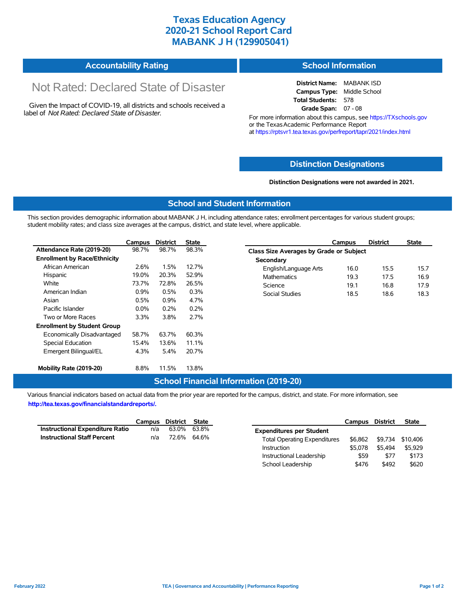## **Texas Education Agency 2020-21 School Report Card MABANK J H (129905041)**

| <b>Accountability Rating</b> | <b>School Information</b> |
|------------------------------|---------------------------|
|------------------------------|---------------------------|

# Not Rated: Declared State of Disaster

Given the Impact of COVID-19, all districts and schools received a label of *Not Rated: Declared State of Disaster.*

**District Name:** MABANK ISD **Campus Type:** Middle School **Total Students:** 578 **Grade Span:** 07 - 08

For more information about this campus, see https://TXschools.gov or the Texas Academic Performance Report at https://rptsvr1.tea.texas.gov/perfreport/tapr/2021/index.html

#### **Distinction Designations**

**Distinction Designations were not awarded in 2021.**

School Leadership  $$476$  \$492 \$620

#### **School and Student Information**

This section provides demographic information about MABANK J H, including attendance rates; enrollment percentages for various student groups; student mobility rates; and class size averages at the campus, district, and state level, where applicable.

|                                     | Campus  | <b>District</b> | <b>State</b> | <b>District</b><br>Campus               | <b>State</b> |
|-------------------------------------|---------|-----------------|--------------|-----------------------------------------|--------------|
| Attendance Rate (2019-20)           | 98.7%   | 98.7%           | 98.3%        | Class Size Averages by Grade or Subject |              |
| <b>Enrollment by Race/Ethnicity</b> |         |                 |              | Secondary                               |              |
| African American                    | 2.6%    | 1.5%            | 12.7%        | 16.0<br>English/Language Arts<br>15.5   | 15.7         |
| Hispanic                            | 19.0%   | 20.3%           | 52.9%        | <b>Mathematics</b><br>19.3<br>17.5      | 16.9         |
| White                               | 73.7%   | 72.8%           | 26.5%        | 16.8<br>Science<br>19.1                 | 17.9         |
| American Indian                     | 0.9%    | 0.5%            | 0.3%         | 18.5<br>18.6<br>Social Studies          | 18.3         |
| Asian                               | 0.5%    | 0.9%            | 4.7%         |                                         |              |
| Pacific Islander                    | $0.0\%$ | 0.2%            | 0.2%         |                                         |              |
| Two or More Races                   | 3.3%    | 3.8%            | 2.7%         |                                         |              |
| <b>Enrollment by Student Group</b>  |         |                 |              |                                         |              |
| Economically Disadvantaged          | 58.7%   | 63.7%           | 60.3%        |                                         |              |
| Special Education                   | 15.4%   | 13.6%           | 11.1%        |                                         |              |
| Emergent Bilingual/EL               | 4.3%    | 5.4%            | 20.7%        |                                         |              |
| Mobility Rate (2019-20)             | 8.8%    | 11.5%           | 13.8%        |                                         |              |

#### **School Financial Information (2019-20)**

Various financial indicators based on actual data from the prior year are reported for the campus, district, and state. For more information, see

**http://tea.texas.gov/financialstandardreports/.**

|                                    | Campus | District State |             |                                     | Campus  | <b>District</b> | <b>State</b>     |
|------------------------------------|--------|----------------|-------------|-------------------------------------|---------|-----------------|------------------|
| Instructional Expenditure Ratio    | n/a    |                | 63.0% 63.8% | <b>Expenditures per Student</b>     |         |                 |                  |
| <b>Instructional Staff Percent</b> | n/a    |                | 72.6% 64.6% | <b>Total Operating Expenditures</b> | \$6.862 |                 | \$9,734 \$10,406 |
|                                    |        |                |             | Instruction                         | \$5.078 | \$5.494         | \$5.929          |
|                                    |        |                |             | Instructional Leadership            | \$59    | \$77            | \$173            |